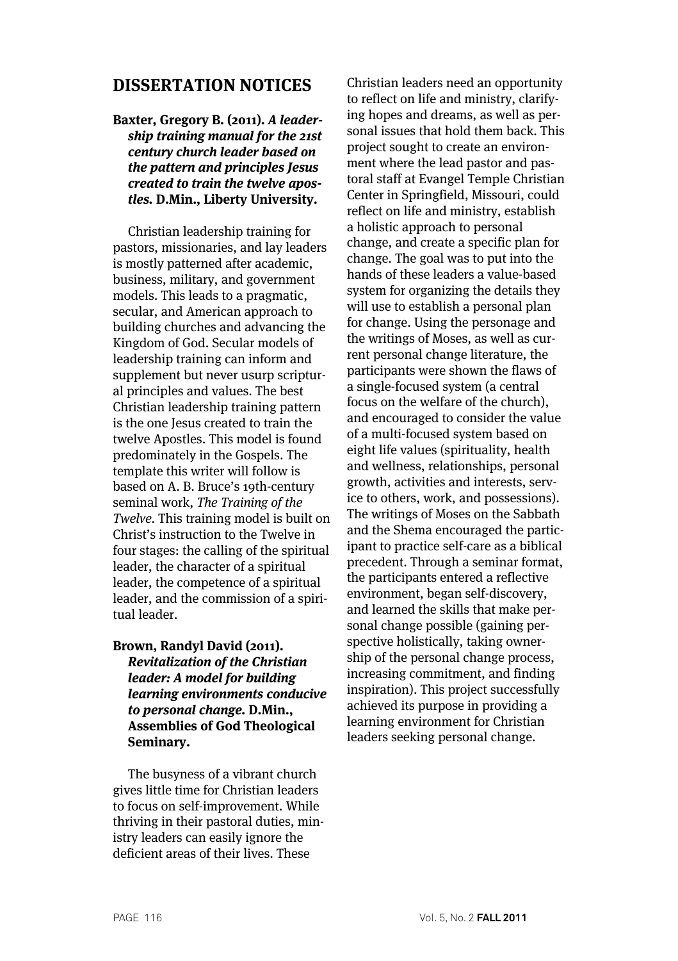# **DISSERTATION NOTICES**

# **Baxter, Gregory B. (2011). A leadership training manual for the 21st century church leader based on the pattern and principles Jesus created to train the twelve apostles. D.Min., Liberty University.**

Christian leadership training for pastors, missionaries, and lay leaders is mostly patterned after academic, business, military, and government models. This leads to a pragmatic, secular, and American approach to building churches and advancing the Kingdom of God. Secular models of leadership training can inform and supplement but never usurp scriptural principles and values. The best Christian leadership training pattern is the one Jesus created to train the twelve Apostles. This model is found predominately in the Gospels. The template this writer will follow is based on A. B. Bruce's 19th-century seminal work, The Training of the Twelve. This training model is built on Christ's instruction to the Twelve in four stages: the calling of the spiritual leader, the character of a spiritual leader, the competence of a spiritual leader, and the commission of a spiritual leader.

# **Brown, Randyl David (2011). Revitalization of the Christian leader: A model for building learning environments conducive to personal change. D.Min., Assemblies of God Theological Seminary.**

The busyness of a vibrant church gives little time for Christian leaders to focus on self-improvement. While thriving in their pastoral duties, ministry leaders can easily ignore the deficient areas of their lives. These

Christian leaders need an opportunity to reflect on life and ministry, clarifying hopes and dreams, as well as personal issues that hold them back. This project sought to create an environment where the lead pastor and pastoral staff at Evangel Temple Christian Center in Springfield, Missouri, could reflect on life and ministry, establish a holistic approach to personal change, and create a specific plan for change. The goal was to put into the hands of these leaders a value-based system for organizing the details they will use to establish a personal plan for change. Using the personage and the writings of Moses, as well as current personal change literature, the participants were shown the flaws of a single-focused system (a central focus on the welfare of the church), and encouraged to consider the value of a multi-focused system based on eight life values (spirituality, health and wellness, relationships, personal growth, activities and interests, service to others, work, and possessions). The writings of Moses on the Sabbath and the Shema encouraged the participant to practice self-care as a biblical precedent. Through a seminar format, the participants entered a reflective environment, began self-discovery, and learned the skills that make personal change possible (gaining perspective holistically, taking ownership of the personal change process, increasing commitment, and finding inspiration). This project successfully achieved its purpose in providing a learning environment for Christian leaders seeking personal change.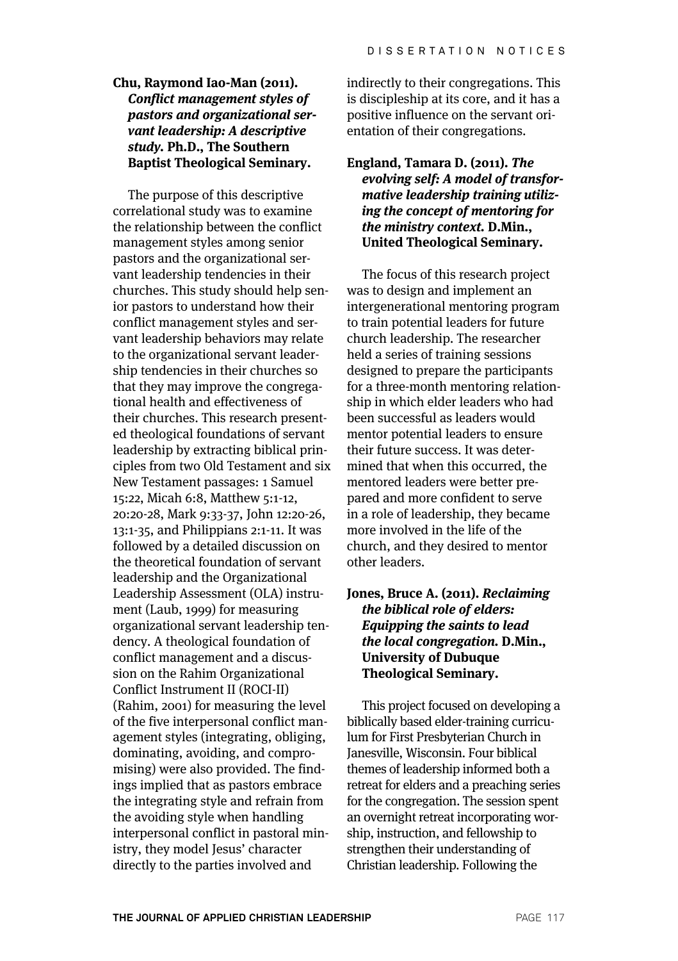# **Chu, Raymond Iao-Man (2011). Conflict management styles of pastors and organizational servant leadership: A descriptive study. Ph.D., The Southern Baptist Theological Seminary.**

The purpose of this descriptive correlational study was to examine the relationship between the conflict management styles among senior pastors and the organizational servant leadership tendencies in their churches. This study should help senior pastors to understand how their conflict management styles and servant leadership behaviors may relate to the organizational servant leadership tendencies in their churches so that they may improve the congregational health and effectiveness of their churches. This research presented theological foundations of servant leadership by extracting biblical principles from two Old Testament and six New Testament passages: 1 Samuel 15:22, Micah 6:8, Matthew 5:1-12, 20:20-28, Mark 9:33-37, John 12:20-26, 13:1-35, and Philippians 2:1-11. It was followed by a detailed discussion on the theoretical foundation of servant leadership and the Organizational Leadership Assessment (OLA) instrument (Laub, 1999) for measuring organizational servant leadership tendency. A theological foundation of conflict management and a discussion on the Rahim Organizational Conflict Instrument II (ROCI-II) (Rahim, 2001) for measuring the level of the five interpersonal conflict management styles (integrating, obliging, dominating, avoiding, and compromising) were also provided. The findings implied that as pastors embrace the integrating style and refrain from the avoiding style when handling interpersonal conflict in pastoral ministry, they model Jesus' character directly to the parties involved and

indirectly to their congregations. This is discipleship at its core, and it has a positive influence on the servant orientation of their congregations.

#### **England, Tamara D. (2011). The evolving self: A model of transformative leadership training utilizing the concept of mentoring for the ministry context. D.Min., United Theological Seminary.**

The focus of this research project was to design and implement an intergenerational mentoring program to train potential leaders for future church leadership. The researcher held a series of training sessions designed to prepare the participants for a three-month mentoring relationship in which elder leaders who had been successful as leaders would mentor potential leaders to ensure their future success. It was determined that when this occurred, the mentored leaders were better prepared and more confident to serve in a role of leadership, they became more involved in the life of the church, and they desired to mentor other leaders.

## **Jones, Bruce A. (2011). Reclaiming the biblical role of elders: Equipping the saints to lead the local congregation. D.Min., University of Dubuque Theological Seminary.**

This project focused on developing a biblically based elder-training curriculum for First Presbyterian Church in Janesville, Wisconsin. Four biblical themes of leadership informed both a retreat for elders and a preaching series for the congregation. The session spent an overnight retreat incorporating worship, instruction, and fellowship to strengthen their understanding of Christian leadership. Following the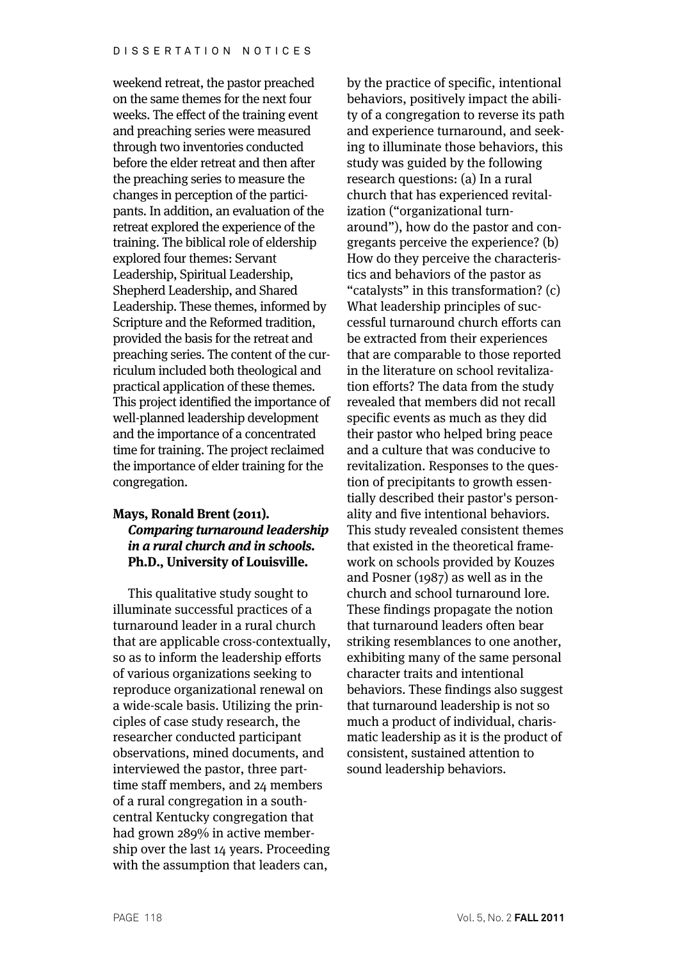weekend retreat, the pastor preached on the same themes for the next four weeks. The effect of the training event and preaching series were measured through two inventories conducted before the elder retreat and then after the preaching series to measure the changes in perception of the participants. In addition, an evaluation of the retreat explored the experience of the training. The biblical role of eldership explored four themes: Servant Leadership, Spiritual Leadership, Shepherd Leadership, and Shared Leadership. These themes, informed by Scripture and the Reformed tradition, provided the basis for the retreat and preaching series. The content of the curriculum included both theological and practical application of these themes. This project identified the importance of well-planned leadership development and the importance of a concentrated time for training. The project reclaimed the importance of elder training for the congregation.

# **Mays, Ronald Brent (2011). Comparing turnaround leadership in a rural church and in schools. Ph.D., University of Louisville.**

This qualitative study sought to illuminate successful practices of a turnaround leader in a rural church that are applicable cross-contextually, so as to inform the leadership efforts of various organizations seeking to reproduce organizational renewal on a wide-scale basis. Utilizing the principles of case study research, the researcher conducted participant observations, mined documents, and interviewed the pastor, three parttime staff members, and 24 members of a rural congregation in a southcentral Kentucky congregation that had grown 289% in active membership over the last 14 years. Proceeding with the assumption that leaders can,

by the practice of specific, intentional behaviors, positively impact the ability of a congregation to reverse its path and experience turnaround, and seeking to illuminate those behaviors, this study was guided by the following research questions: (a) In a rural church that has experienced revitalization ("organizational turnaround"), how do the pastor and congregants perceive the experience? (b) How do they perceive the characteristics and behaviors of the pastor as "catalysts" in this transformation? (c) What leadership principles of successful turnaround church efforts can be extracted from their experiences that are comparable to those reported in the literature on school revitalization efforts? The data from the study revealed that members did not recall specific events as much as they did their pastor who helped bring peace and a culture that was conducive to revitalization. Responses to the question of precipitants to growth essentially described their pastor's personality and five intentional behaviors. This study revealed consistent themes that existed in the theoretical framework on schools provided by Kouzes and Posner (1987) as well as in the church and school turnaround lore. These findings propagate the notion that turnaround leaders often bear striking resemblances to one another, exhibiting many of the same personal character traits and intentional behaviors. These findings also suggest that turnaround leadership is not so much a product of individual, charismatic leadership as it is the product of consistent, sustained attention to sound leadership behaviors.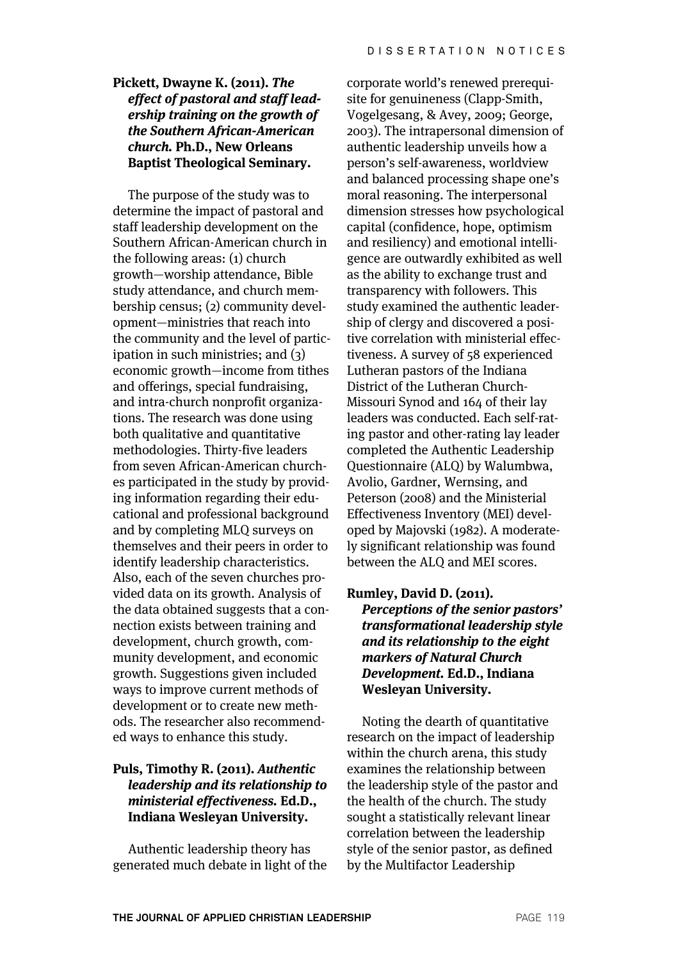# **Pickett, Dwayne K. (2011). The effect of pastoral and staff leadership training on the growth of the Southern African-American church. Ph.D., New Orleans Baptist Theological Seminary.**

The purpose of the study was to determine the impact of pastoral and staff leadership development on the Southern African-American church in the following areas: (1) church growth—worship attendance, Bible study attendance, and church membership census; (2) community development—ministries that reach into the community and the level of participation in such ministries; and (3) economic growth—income from tithes and offerings, special fundraising, and intra-church nonprofit organizations. The research was done using both qualitative and quantitative methodologies. Thirty-five leaders from seven African-American churches participated in the study by providing information regarding their educational and professional background and by completing MLQ surveys on themselves and their peers in order to identify leadership characteristics. Also, each of the seven churches provided data on its growth. Analysis of the data obtained suggests that a connection exists between training and development, church growth, community development, and economic growth. Suggestions given included ways to improve current methods of development or to create new methods. The researcher also recommended ways to enhance this study.

# **Puls, Timothy R. (2011). Authentic leadership and its relationship to ministerial effectiveness. Ed.D., Indiana Wesleyan University.**

Authentic leadership theory has generated much debate in light of the

corporate world's renewed prerequisite for genuineness (Clapp-Smith, Vogelgesang, & Avey, 2009; George, 2003). The intrapersonal dimension of authentic leadership unveils how a person's self-awareness, worldview and balanced processing shape one's moral reasoning. The interpersonal dimension stresses how psychological capital (confidence, hope, optimism and resiliency) and emotional intelligence are outwardly exhibited as well as the ability to exchange trust and transparency with followers. This study examined the authentic leadership of clergy and discovered a positive correlation with ministerial effectiveness. A survey of 58 experienced Lutheran pastors of the Indiana District of the Lutheran Church-Missouri Synod and 164 of their lay leaders was conducted. Each self-rating pastor and other-rating lay leader completed the Authentic Leadership Questionnaire (ALQ) by Walumbwa, Avolio, Gardner, Wernsing, and Peterson (2008) and the Ministerial Effectiveness Inventory (MEI) developed by Majovski (1982). A moderately significant relationship was found between the ALQ and MEI scores.

#### **Rumley, David D. (2011).**

**Perceptions of the senior pastors' transformational leadership style and its relationship to the eight markers of Natural Church Development. Ed.D., Indiana Wesleyan University.**

Noting the dearth of quantitative research on the impact of leadership within the church arena, this study examines the relationship between the leadership style of the pastor and the health of the church. The study sought a statistically relevant linear correlation between the leadership style of the senior pastor, as defined by the Multifactor Leadership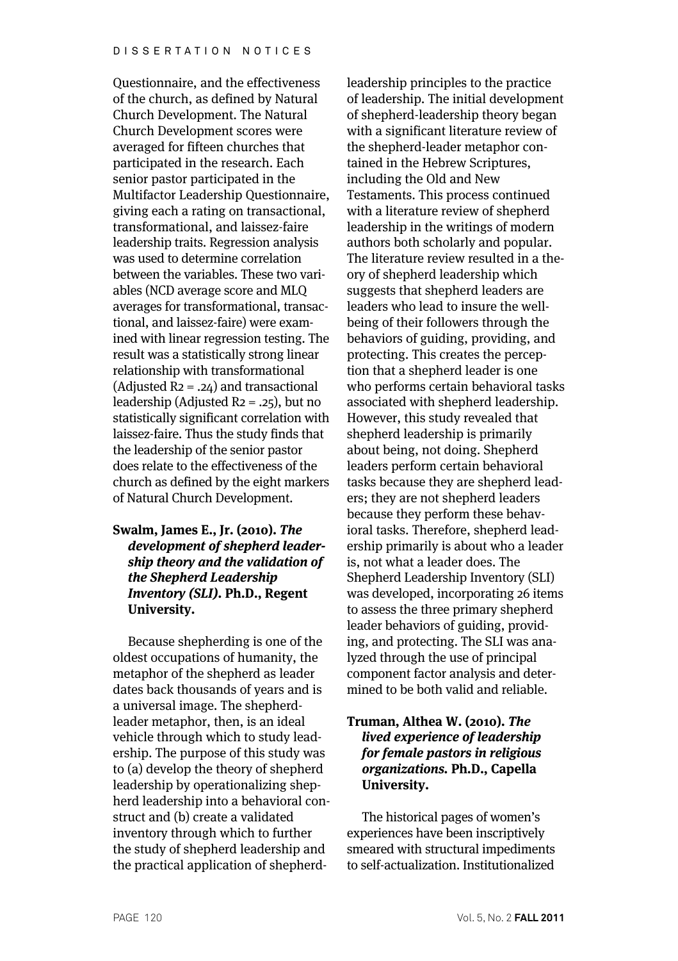Questionnaire, and the effectiveness of the church, as defined by Natural Church Development. The Natural Church Development scores were averaged for fifteen churches that participated in the research. Each senior pastor participated in the Multifactor Leadership Questionnaire, giving each a rating on transactional, transformational, and laissez-faire leadership traits. Regression analysis was used to determine correlation between the variables. These two variables (NCD average score and MLQ averages for transformational, transactional, and laissez-faire) were examined with linear regression testing. The result was a statistically strong linear relationship with transformational (Adjusted  $R_2 = .24$ ) and transactional leadership (Adjusted  $R_2 = .25$ ), but no statistically significant correlation with laissez-faire. Thus the study finds that the leadership of the senior pastor does relate to the effectiveness of the church as defined by the eight markers of Natural Church Development.

# **Swalm, James E., Jr. (2010). The development of shepherd leadership theory and the validation of the Shepherd Leadership Inventory (SLI). Ph.D., Regent University.**

Because shepherding is one of the oldest occupations of humanity, the metaphor of the shepherd as leader dates back thousands of years and is a universal image. The shepherdleader metaphor, then, is an ideal vehicle through which to study leadership. The purpose of this study was to (a) develop the theory of shepherd leadership by operationalizing shepherd leadership into a behavioral construct and (b) create a validated inventory through which to further the study of shepherd leadership and the practical application of shepherd-

leadership principles to the practice of leadership. The initial development of shepherd-leadership theory began with a significant literature review of the shepherd-leader metaphor contained in the Hebrew Scriptures, including the Old and New Testaments. This process continued with a literature review of shepherd leadership in the writings of modern authors both scholarly and popular. The literature review resulted in a theory of shepherd leadership which suggests that shepherd leaders are leaders who lead to insure the wellbeing of their followers through the behaviors of guiding, providing, and protecting. This creates the perception that a shepherd leader is one who performs certain behavioral tasks associated with shepherd leadership. However, this study revealed that shepherd leadership is primarily about being, not doing. Shepherd leaders perform certain behavioral tasks because they are shepherd leaders; they are not shepherd leaders because they perform these behavioral tasks. Therefore, shepherd leadership primarily is about who a leader is, not what a leader does. The Shepherd Leadership Inventory (SLI) was developed, incorporating 26 items to assess the three primary shepherd leader behaviors of guiding, providing, and protecting. The SLI was analyzed through the use of principal component factor analysis and determined to be both valid and reliable.

### **Truman, Althea W. (2010). The lived experience of leadership for female pastors in religious organizations. Ph.D., Capella University.**

The historical pages of women's experiences have been inscriptively smeared with structural impediments to self-actualization. Institutionalized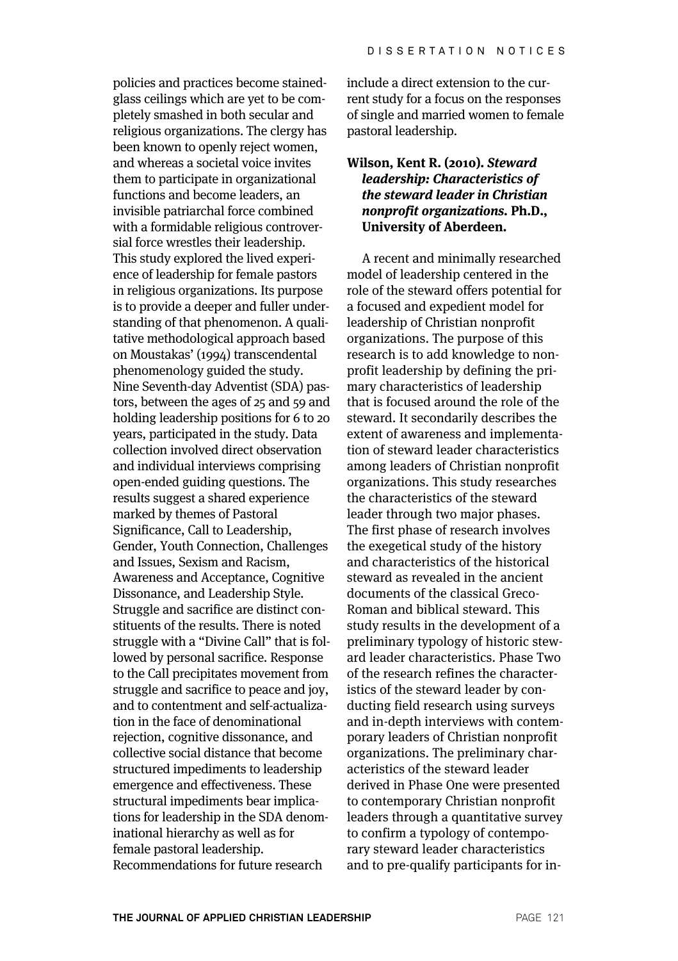policies and practices become stainedglass ceilings which are yet to be completely smashed in both secular and religious organizations. The clergy has been known to openly reject women, and whereas a societal voice invites them to participate in organizational functions and become leaders, an invisible patriarchal force combined with a formidable religious controversial force wrestles their leadership. This study explored the lived experience of leadership for female pastors in religious organizations. Its purpose is to provide a deeper and fuller understanding of that phenomenon. A qualitative methodological approach based on Moustakas' (1994) transcendental phenomenology guided the study. Nine Seventh-day Adventist (SDA) pastors, between the ages of 25 and 59 and holding leadership positions for 6 to 20 years, participated in the study. Data collection involved direct observation and individual interviews comprising open-ended guiding questions. The results suggest a shared experience marked by themes of Pastoral Significance, Call to Leadership, Gender, Youth Connection, Challenges and Issues, Sexism and Racism, Awareness and Acceptance, Cognitive Dissonance, and Leadership Style. Struggle and sacrifice are distinct constituents of the results. There is noted struggle with a "Divine Call" that is followed by personal sacrifice. Response to the Call precipitates movement from struggle and sacrifice to peace and joy, and to contentment and self-actualization in the face of denominational rejection, cognitive dissonance, and collective social distance that become structured impediments to leadership emergence and effectiveness. These structural impediments bear implications for leadership in the SDA denominational hierarchy as well as for female pastoral leadership. Recommendations for future research

include a direct extension to the current study for a focus on the responses of single and married women to female pastoral leadership.

# **Wilson, Kent R. (2010). Steward leadership: Characteristics of the steward leader in Christian nonprofit organizations. Ph.D., University of Aberdeen.**

A recent and minimally researched model of leadership centered in the role of the steward offers potential for a focused and expedient model for leadership of Christian nonprofit organizations. The purpose of this research is to add knowledge to nonprofit leadership by defining the primary characteristics of leadership that is focused around the role of the steward. It secondarily describes the extent of awareness and implementation of steward leader characteristics among leaders of Christian nonprofit organizations. This study researches the characteristics of the steward leader through two major phases. The first phase of research involves the exegetical study of the history and characteristics of the historical steward as revealed in the ancient documents of the classical Greco-Roman and biblical steward. This study results in the development of a preliminary typology of historic steward leader characteristics. Phase Two of the research refines the characteristics of the steward leader by conducting field research using surveys and in-depth interviews with contemporary leaders of Christian nonprofit organizations. The preliminary characteristics of the steward leader derived in Phase One were presented to contemporary Christian nonprofit leaders through a quantitative survey to confirm a typology of contemporary steward leader characteristics and to pre-qualify participants for in-